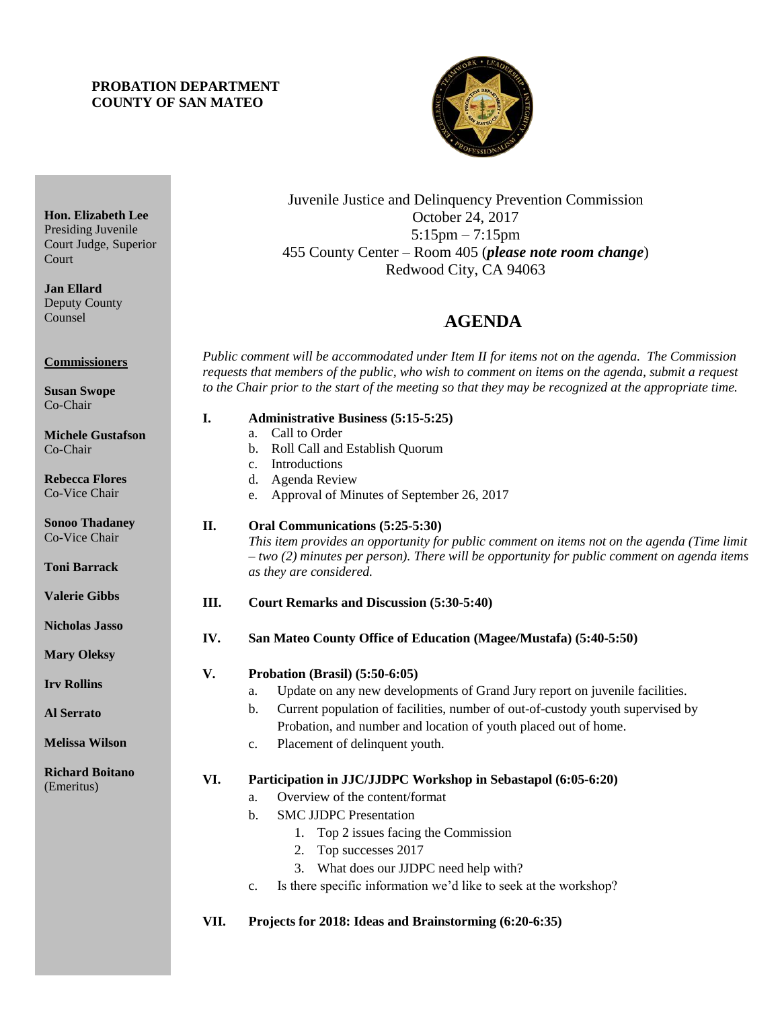# **PROBATION DEPARTMENT COUNTY OF SAN MATEO**



Juvenile Justice and Delinquency Prevention Commission October 24, 2017 5:15pm – 7:15pm 455 County Center – Room 405 (*please note room change*) Redwood City, CA 94063

# 4B**AGENDA**

*Public comment will be accommodated under Item II for items not on the agenda. The Commission requests that members of the public, who wish to comment on items on the agenda, submit a request to the Chair prior to the start of the meeting so that they may be recognized at the appropriate time.* 

| I. |  | <b>Administrative Business (5:15-5:25)</b> |  |
|----|--|--------------------------------------------|--|
|----|--|--------------------------------------------|--|

- a. Call to Order
	- b. Roll Call and Establish Quorum
	- c. Introductions
	- d. Agenda Review
	- e. Approval of Minutes of September 26, 2017

# **II. Oral Communications (5:25-5:30)**

*This item provides an opportunity for public comment on items not on the agenda (Time limit – two (2) minutes per person). There will be opportunity for public comment on agenda items as they are considered.*

#### **III. Court Remarks and Discussion (5:30-5:40)**

**IV. San Mateo County Office of Education (Magee/Mustafa) (5:40-5:50)**

# **V. Probation (Brasil) (5:50-6:05)**

- a. Update on any new developments of Grand Jury report on juvenile facilities.
- b. Current population of facilities, number of out-of-custody youth supervised by Probation, and number and location of youth placed out of home.
- c. Placement of delinquent youth.

# **VI. Participation in JJC/JJDPC Workshop in Sebastapol (6:05-6:20)**

- a. Overview of the content/format
- b. SMC JJDPC Presentation
	- 1. Top 2 issues facing the Commission
	- 2. Top successes 2017
	- 3. What does our JJDPC need help with?
- c. Is there specific information we'd like to seek at the workshop?

# **VII. Projects for 2018: Ideas and Brainstorming (6:20-6:35)**

**Hon. Elizabeth Lee** Presiding Juvenile Court Judge, Superior **Court** 

**Jan Ellard** Deputy County Counsel

**Commissioners**

**Susan Swope** Co-Chair

**Michele Gustafson** Co-Chair

**Rebecca Flores** Co-Vice Chair

**Sonoo Thadaney** Co-Vice Chair

**Toni Barrack**

**Valerie Gibbs**

**Nicholas Jasso**

**Mary Oleksy**

**Irv Rollins** 

**Al Serrato**

**Melissa Wilson**

**Richard Boitano** (Emeritus)